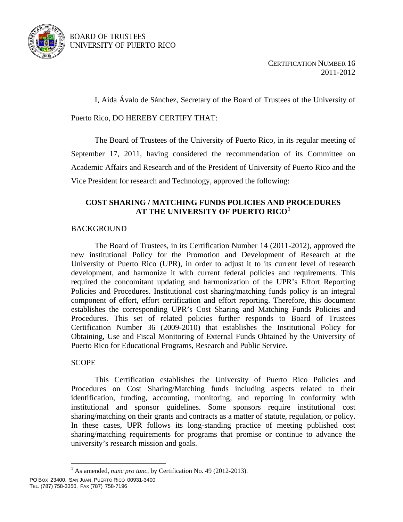

### BOARD OF TRUSTEES UNIVERSITY OF PUERTO RICO

CERTIFICATION NUMBER 16 2011-2012

I, Aida Ávalo de Sánchez, Secretary of the Board of Trustees of the University of

Puerto Rico, DO HEREBY CERTIFY THAT:

 The Board of Trustees of the University of Puerto Rico, in its regular meeting of September 17, 2011, having considered the recommendation of its Committee on Academic Affairs and Research and of the President of University of Puerto Rico and the Vice President for research and Technology, approved the following:

# **COST SHARING / MATCHING FUNDS POLICIES AND PROCEDURES AT THE UNIVERSITY OF PUERTO RICO[1](#page-0-0)**

# BACKGROUND

The Board of Trustees, in its Certification Number 14 (2011-2012), approved the new institutional Policy for the Promotion and Development of Research at the University of Puerto Rico (UPR), in order to adjust it to its current level of research development, and harmonize it with current federal policies and requirements. This required the concomitant updating and harmonization of the UPR's Effort Reporting Policies and Procedures. Institutional cost sharing/matching funds policy is an integral component of effort, effort certification and effort reporting. Therefore, this document establishes the corresponding UPR's Cost Sharing and Matching Funds Policies and Procedures. This set of related policies further responds to Board of Trustees Certification Number 36 (2009-2010) that establishes the Institutional Policy for Obtaining, Use and Fiscal Monitoring of External Funds Obtained by the University of Puerto Rico for Educational Programs, Research and Public Service.

## **SCOPE**

This Certification establishes the University of Puerto Rico Policies and Procedures on Cost Sharing/Matching funds including aspects related to their identification, funding, accounting, monitoring, and reporting in conformity with institutional and sponsor guidelines. Some sponsors require institutional cost sharing/matching on their grants and contracts as a matter of statute, regulation, or policy. In these cases, UPR follows its long-standing practice of meeting published cost sharing/matching requirements for programs that promise or continue to advance the university's research mission and goals.

 $\overline{a}$ 

<span id="page-0-0"></span><sup>&</sup>lt;sup>1</sup> As amended, *nunc pro tunc*, by Certification No. 49 (2012-2013).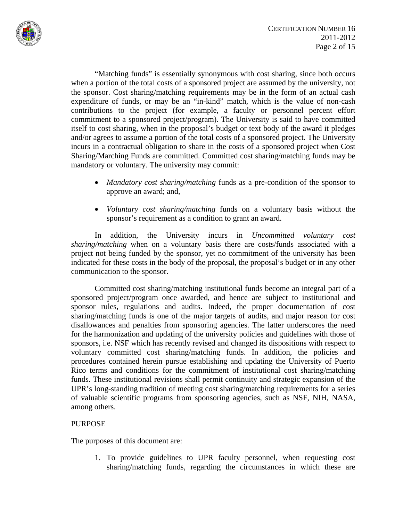

"Matching funds" is essentially synonymous with cost sharing, since both occurs when a portion of the total costs of a sponsored project are assumed by the university, not the sponsor. Cost sharing/matching requirements may be in the form of an actual cash expenditure of funds, or may be an "in-kind" match, which is the value of non-cash contributions to the project (for example, a faculty or personnel percent effort commitment to a sponsored project/program). The University is said to have committed itself to cost sharing, when in the proposal's budget or text body of the award it pledges and/or agrees to assume a portion of the total costs of a sponsored project. The University incurs in a contractual obligation to share in the costs of a sponsored project when Cost Sharing/Marching Funds are committed. Committed cost sharing/matching funds may be mandatory or voluntary. The university may commit:

- *Mandatory cost sharing/matching* funds as a pre-condition of the sponsor to approve an award; and,
- *Voluntary cost sharing/matching* funds on a voluntary basis without the sponsor's requirement as a condition to grant an award.

In addition, the University incurs in *Uncommitted voluntary cost sharing/matching* when on a voluntary basis there are costs/funds associated with a project not being funded by the sponsor, yet no commitment of the university has been indicated for these costs in the body of the proposal, the proposal's budget or in any other communication to the sponsor.

Committed cost sharing/matching institutional funds become an integral part of a sponsored project/program once awarded, and hence are subject to institutional and sponsor rules, regulations and audits. Indeed, the proper documentation of cost sharing/matching funds is one of the major targets of audits, and major reason for cost disallowances and penalties from sponsoring agencies. The latter underscores the need for the harmonization and updating of the university policies and guidelines with those of sponsors, i.e. NSF which has recently revised and changed its dispositions with respect to voluntary committed cost sharing/matching funds. In addition, the policies and procedures contained herein pursue establishing and updating the University of Puerto Rico terms and conditions for the commitment of institutional cost sharing/matching funds. These institutional revisions shall permit continuity and strategic expansion of the UPR's long-standing tradition of meeting cost sharing/matching requirements for a series of valuable scientific programs from sponsoring agencies, such as NSF, NIH, NASA, among others.

## PURPOSE

The purposes of this document are:

1. To provide guidelines to UPR faculty personnel, when requesting cost sharing/matching funds, regarding the circumstances in which these are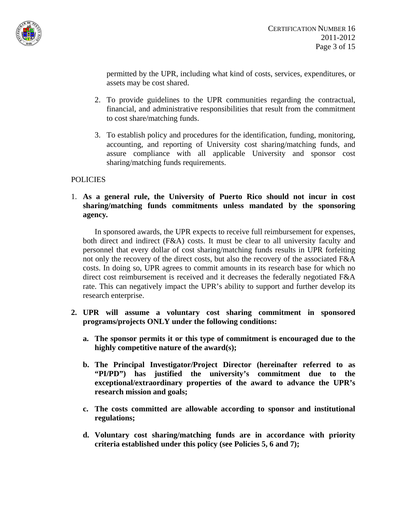

permitted by the UPR, including what kind of costs, services, expenditures, or assets may be cost shared.

- 2. To provide guidelines to the UPR communities regarding the contractual, financial, and administrative responsibilities that result from the commitment to cost share/matching funds.
- 3. To establish policy and procedures for the identification, funding, monitoring, accounting, and reporting of University cost sharing/matching funds, and assure compliance with all applicable University and sponsor cost sharing/matching funds requirements.

# POLICIES

1. **As a general rule, the University of Puerto Rico should not incur in cost sharing/matching funds commitments unless mandated by the sponsoring agency***.* 

In sponsored awards, the UPR expects to receive full reimbursement for expenses, both direct and indirect (F&A) costs. It must be clear to all university faculty and personnel that every dollar of cost sharing/matching funds results in UPR forfeiting not only the recovery of the direct costs, but also the recovery of the associated F&A costs. In doing so, UPR agrees to commit amounts in its research base for which no direct cost reimbursement is received and it decreases the federally negotiated F&A rate. This can negatively impact the UPR's ability to support and further develop its research enterprise.

- **2. UPR will assume a voluntary cost sharing commitment in sponsored programs/projects ONLY under the following conditions:** 
	- **a. The sponsor permits it or this type of commitment is encouraged due to the highly competitive nature of the award(s);**
	- **b. The Principal Investigator/Project Director (hereinafter referred to as "PI/PD") has justified the university's commitment due to the exceptional/extraordinary properties of the award to advance the UPR's research mission and goals;**
	- **c. The costs committed are allowable according to sponsor and institutional regulations;**
	- **d. Voluntary cost sharing/matching funds are in accordance with priority criteria established under this policy (see Policies 5, 6 and 7);**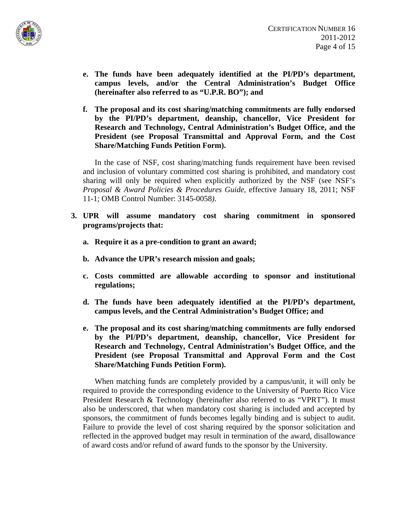

- **e. The funds have been adequately identified at the PI/PD's department, campus levels, and/or the Central Administration's Budget Office (hereinafter also referred to as "U.P.R. BO"); and**
- **f. The proposal and its cost sharing/matching commitments are fully endorsed by the PI/PD's department, deanship, chancellor, Vice President for Research and Technology, Central Administration's Budget Office, and the President (see Proposal Transmittal and Approval Form, and the Cost Share/Matching Funds Petition Form).**

 In the case of NSF, cost sharing/matching funds requirement have been revised and inclusion of voluntary committed cost sharing is prohibited, and mandatory cost sharing will only be required when explicitly authorized by the NSF (see NSF's *Proposal & Award Policies & Procedures Guide*, effective January 18, 2011; NSF 11-1; OMB Control Number: 3145-0058*)*.

- **3. UPR will assume mandatory cost sharing commitment in sponsored programs/projects that:**
	- **a. Require it as a pre-condition to grant an award;**
	- **b. Advance the UPR's research mission and goals;**
	- **c. Costs committed are allowable according to sponsor and institutional regulations;**
	- **d. The funds have been adequately identified at the PI/PD's department, campus levels, and the Central Administration's Budget Office; and**
	- **e. The proposal and its cost sharing/matching commitments are fully endorsed by the PI/PD's department, deanship, chancellor, Vice President for Research and Technology, Central Administration's Budget Office, and the President (see Proposal Transmittal and Approval Form and the Cost Share/Matching Funds Petition Form).**

 When matching funds are completely provided by a campus/unit, it will only be required to provide the corresponding evidence to the University of Puerto Rico Vice President Research & Technology (hereinafter also referred to as "VPRT"). It must also be underscored, that when mandatory cost sharing is included and accepted by sponsors, the commitment of funds becomes legally binding and is subject to audit. Failure to provide the level of cost sharing required by the sponsor solicitation and reflected in the approved budget may result in termination of the award, disallowance of award costs and/or refund of award funds to the sponsor by the University.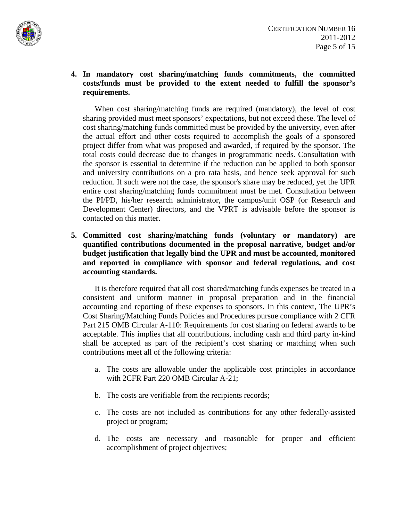

**4. In mandatory cost sharing/matching funds commitments, the committed costs/funds must be provided to the extent needed to fulfill the sponsor's requirements.** 

 When cost sharing/matching funds are required (mandatory), the level of cost sharing provided must meet sponsors' expectations, but not exceed these. The level of cost sharing/matching funds committed must be provided by the university, even after the actual effort and other costs required to accomplish the goals of a sponsored project differ from what was proposed and awarded, if required by the sponsor. The total costs could decrease due to changes in programmatic needs. Consultation with the sponsor is essential to determine if the reduction can be applied to both sponsor and university contributions on a pro rata basis, and hence seek approval for such reduction. If such were not the case, the sponsor's share may be reduced, yet the UPR entire cost sharing/matching funds commitment must be met. Consultation between the PI/PD, his/her research administrator, the campus/unit OSP (or Research and Development Center) directors, and the VPRT is advisable before the sponsor is contacted on this matter.

**5. Committed cost sharing/matching funds (voluntary or mandatory) are quantified contributions documented in the proposal narrative, budget and/or budget justification that legally bind the UPR and must be accounted, monitored and reported in compliance with sponsor and federal regulations, and cost accounting standards.** 

 It is therefore required that all cost shared/matching funds expenses be treated in a consistent and uniform manner in proposal preparation and in the financial accounting and reporting of these expenses to sponsors. In this context, The UPR's Cost Sharing/Matching Funds Policies and Procedures pursue compliance with 2 CFR Part 215 OMB Circular A-110: Requirements for cost sharing on federal awards to be acceptable. This implies that all contributions, including cash and third party in-kind shall be accepted as part of the recipient's cost sharing or matching when such contributions meet all of the following criteria:

- a. The costs are allowable under the applicable cost principles in accordance with 2CFR Part 220 OMB Circular A-21;
- b. The costs are verifiable from the recipients records;
- c. The costs are not included as contributions for any other federally-assisted project or program;
- d. The costs are necessary and reasonable for proper and efficient accomplishment of project objectives;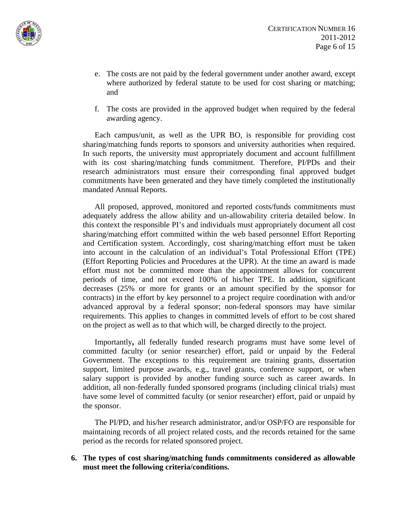

- e. The costs are not paid by the federal government under another award, except where authorized by federal statute to be used for cost sharing or matching; and
- f. The costs are provided in the approved budget when required by the federal awarding agency.

 Each campus/unit, as well as the UPR BO, is responsible for providing cost sharing/matching funds reports to sponsors and university authorities when required. In such reports, the university must appropriately document and account fulfillment with its cost sharing/matching funds commitment. Therefore, PI/PDs and their research administrators must ensure their corresponding final approved budget commitments have been generated and they have timely completed the institutionally mandated Annual Reports.

 All proposed, approved, monitored and reported costs/funds commitments must adequately address the allow ability and un-allowability criteria detailed below. In this context the responsible PI's and individuals must appropriately document all cost sharing/matching effort committed within the web based personnel Effort Reporting and Certification system. Accordingly, cost sharing/matching effort must be taken into account in the calculation of an individual's Total Professional Effort (TPE) (Effort Reporting Policies and Procedures at the UPR). At the time an award is made effort must not be committed more than the appointment allows for concurrent periods of time, and not exceed 100% of his/her TPE. In addition, significant decreases (25% or more for grants or an amount specified by the sponsor for contracts) in the effort by key personnel to a project require coordination with and/or advanced approval by a federal sponsor; non-federal sponsors may have similar requirements. This applies to changes in committed levels of effort to be cost shared on the project as well as to that which will, be charged directly to the project.

 Importantly**,** all federally funded research programs must have some level of committed faculty (or senior researcher) effort, paid or unpaid by the Federal Government. The exceptions to this requirement are training grants, dissertation support, limited purpose awards, e.g., travel grants, conference support, or when salary support is provided by another funding source such as career awards. In addition, all non-federally funded sponsored programs (including clinical trials) must have some level of committed faculty (or senior researcher) effort, paid or unpaid by the sponsor.

 The PI/PD, and his/her research administrator, and/or OSP/FO are responsible for maintaining records of all project related costs, and the records retained for the same period as the records for related sponsored project.

**6. The types of cost sharing/matching funds commitments considered as allowable must meet the following criteria/conditions.**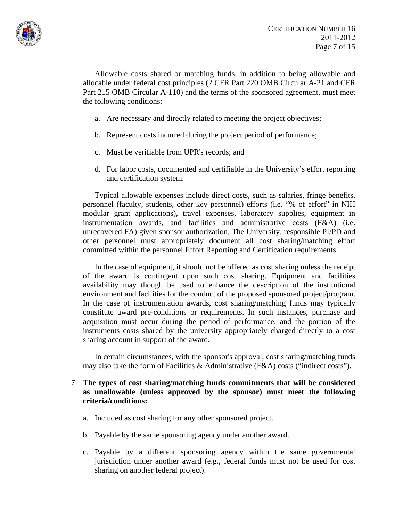

 Allowable costs shared or matching funds, in addition to being allowable and allocable under federal cost principles (2 CFR Part 220 OMB Circular A-21 and CFR Part 215 OMB Circular A-110) and the terms of the sponsored agreement, must meet the following conditions:

- a. Are necessary and directly related to meeting the project objectives;
- b. Represent costs incurred during the project period of performance;
- c. Must be verifiable from UPR's records; and
- d. For labor costs, documented and certifiable in the University's effort reporting and certification system.

 Typical allowable expenses include direct costs, such as salaries, fringe benefits, personnel (faculty, students, other key personnel) efforts (i.e. "% of effort" in NIH modular grant applications), travel expenses, laboratory supplies, equipment in instrumentation awards, and facilities and administrative costs (F&A) (i.e. unrecovered FA) given sponsor authorization. The University, responsible PI/PD and other personnel must appropriately document all cost sharing/matching effort committed within the personnel Effort Reporting and Certification requirements.

 In the case of equipment, it should not be offered as cost sharing unless the receipt of the award is contingent upon such cost sharing. Equipment and facilities availability may though be used to enhance the description of the institutional environment and facilities for the conduct of the proposed sponsored project/program. In the case of instrumentation awards, cost sharing/matching funds may typically constitute award pre-conditions or requirements. In such instances, purchase and acquisition must occur during the period of performance, and the portion of the instruments costs shared by the university appropriately charged directly to a cost sharing account in support of the award.

 In certain circumstances, with the sponsor's approval, cost sharing/matching funds may also take the form of Facilities & Administrative (F&A) costs ("indirect costs").

### 7. **The types of cost sharing/matching funds commitments that will be considered as unallowable (unless approved by the sponsor) must meet the following criteria/conditions:**

- a. Included as cost sharing for any other sponsored project.
- b. Payable by the same sponsoring agency under another award.
- c. Payable by a different sponsoring agency within the same governmental jurisdiction under another award (e.g., federal funds must not be used for cost sharing on another federal project).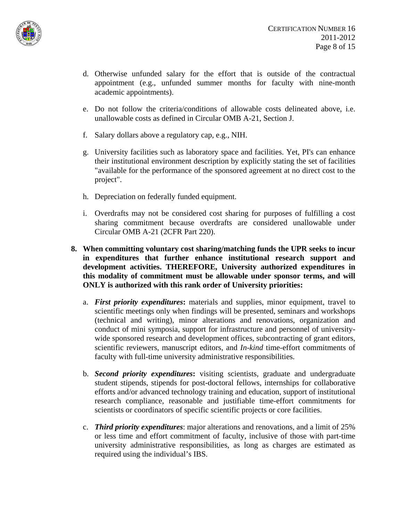

- d. Otherwise unfunded salary for the effort that is outside of the contractual appointment (e.g., unfunded summer months for faculty with nine-month academic appointments).
- e. Do not follow the criteria/conditions of allowable costs delineated above, i.e. unallowable costs as defined in Circular OMB A-21, Section J.
- f. Salary dollars above a regulatory cap, e.g., NIH.
- g. University facilities such as laboratory space and facilities. Yet, PI's can enhance their institutional environment description by explicitly stating the set of facilities "available for the performance of the sponsored agreement at no direct cost to the project".
- h. Depreciation on federally funded equipment.
- i. Overdrafts may not be considered cost sharing for purposes of fulfilling a cost sharing commitment because overdrafts are considered unallowable under Circular OMB A-21 (2CFR Part 220).
- **8. When committing voluntary cost sharing/matching funds the UPR seeks to incur in expenditures that further enhance institutional research support and development activities. THEREFORE, University authorized expenditures in this modality of commitment must be allowable under sponsor terms, and will ONLY is authorized with this rank order of University priorities:** 
	- a. *First priority expenditures***:** materials and supplies, minor equipment, travel to scientific meetings only when findings will be presented, seminars and workshops (technical and writing), minor alterations and renovations, organization and conduct of mini symposia, support for infrastructure and personnel of universitywide sponsored research and development offices, subcontracting of grant editors, scientific reviewers, manuscript editors, and *In-kind* time-effort commitments of faculty with full-time university administrative responsibilities.
	- b. *Second priority expenditures***:** visiting scientists, graduate and undergraduate student stipends, stipends for post-doctoral fellows, internships for collaborative efforts and/or advanced technology training and education, support of institutional research compliance, reasonable and justifiable time-effort commitments for scientists or coordinators of specific scientific projects or core facilities.
	- c. *Third priority expenditures*: major alterations and renovations, and a limit of 25% or less time and effort commitment of faculty, inclusive of those with part-time university administrative responsibilities, as long as charges are estimated as required using the individual's IBS.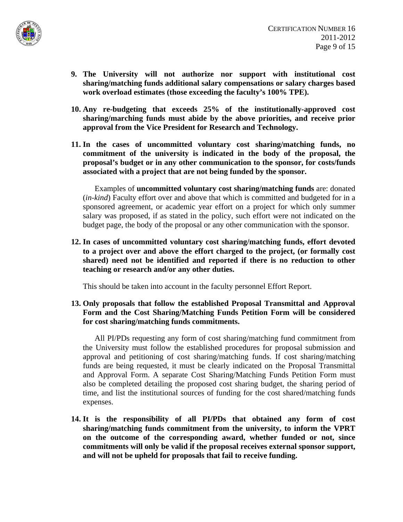

- **9. The University will not authorize nor support with institutional cost sharing/matching funds additional salary compensations or salary charges based work overload estimates (those exceeding the faculty's 100% TPE).**
- **10. Any re-budgeting that exceeds 25% of the institutionally-approved cost sharing/marching funds must abide by the above priorities, and receive prior approval from the Vice President for Research and Technology.**
- **11. In the cases of uncommitted voluntary cost sharing/matching funds, no commitment of the university is indicated in the body of the proposal, the proposal's budget or in any other communication to the sponsor, for costs/funds associated with a project that are not being funded by the sponsor.**

 Examples of **uncommitted voluntary cost sharing/matching funds** are: donated (*in-kind*) Faculty effort over and above that which is committed and budgeted for in a sponsored agreement, or academic year effort on a project for which only summer salary was proposed, if as stated in the policy, such effort were not indicated on the budget page, the body of the proposal or any other communication with the sponsor.

**12. In cases of uncommitted voluntary cost sharing/matching funds, effort devoted to a project over and above the effort charged to the project, (or formally cost shared) need not be identified and reported if there is no reduction to other teaching or research and/or any other duties.** 

This should be taken into account in the faculty personnel Effort Report.

**13. Only proposals that follow the established Proposal Transmittal and Approval Form and the Cost Sharing/Matching Funds Petition Form will be considered for cost sharing/matching funds commitments.** 

 All PI/PDs requesting any form of cost sharing/matching fund commitment from the University must follow the established procedures for proposal submission and approval and petitioning of cost sharing/matching funds. If cost sharing/matching funds are being requested, it must be clearly indicated on the Proposal Transmittal and Approval Form. A separate Cost Sharing/Matching Funds Petition Form must also be completed detailing the proposed cost sharing budget, the sharing period of time, and list the institutional sources of funding for the cost shared/matching funds expenses.

**14. It is the responsibility of all PI/PDs that obtained any form of cost sharing/matching funds commitment from the university, to inform the VPRT on the outcome of the corresponding award, whether funded or not, since commitments will only be valid if the proposal receives external sponsor support, and will not be upheld for proposals that fail to receive funding.**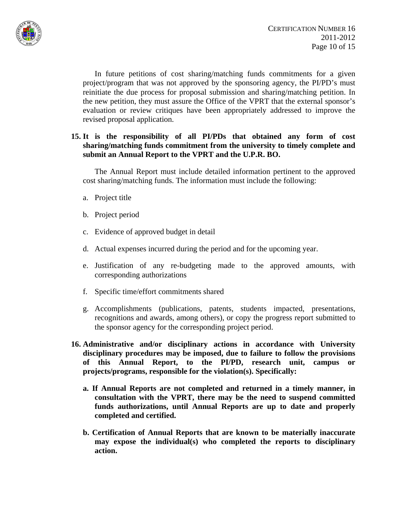

 In future petitions of cost sharing/matching funds commitments for a given project/program that was not approved by the sponsoring agency, the PI/PD's must reinitiate the due process for proposal submission and sharing/matching petition. In the new petition, they must assure the Office of the VPRT that the external sponsor's evaluation or review critiques have been appropriately addressed to improve the revised proposal application.

## **15. It is the responsibility of all PI/PDs that obtained any form of cost sharing/matching funds commitment from the university to timely complete and submit an Annual Report to the VPRT and the U.P.R. BO.**

 The Annual Report must include detailed information pertinent to the approved cost sharing/matching funds. The information must include the following:

- a. Project title
- b. Project period
- c. Evidence of approved budget in detail
- d. Actual expenses incurred during the period and for the upcoming year.
- e. Justification of any re-budgeting made to the approved amounts, with corresponding authorizations
- f. Specific time/effort commitments shared
- g. Accomplishments (publications, patents, students impacted, presentations, recognitions and awards, among others), or copy the progress report submitted to the sponsor agency for the corresponding project period.
- **16. Administrative and/or disciplinary actions in accordance with University disciplinary procedures may be imposed, due to failure to follow the provisions of this Annual Report, to the PI/PD, research unit, campus or projects/programs, responsible for the violation(s). Specifically:** 
	- **a. If Annual Reports are not completed and returned in a timely manner, in consultation with the VPRT, there may be the need to suspend committed funds authorizations, until Annual Reports are up to date and properly completed and certified.**
	- **b. Certification of Annual Reports that are known to be materially inaccurate may expose the individual(s) who completed the reports to disciplinary action.**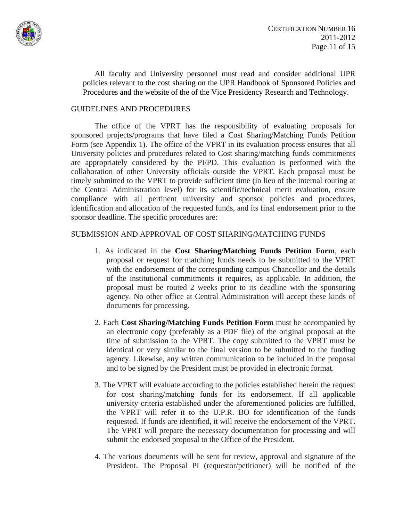

 All faculty and University personnel must read and consider additional UPR policies relevant to the cost sharing on the UPR Handbook of Sponsored Policies and Procedures and the website of the of the Vice Presidency Research and Technology.

### GUIDELINES AND PROCEDURES

The office of the VPRT has the responsibility of evaluating proposals for sponsored projects/programs that have filed a Cost Sharing/Matching Funds Petition Form (see Appendix 1). The office of the VPRT in its evaluation process ensures that all University policies and procedures related to Cost sharing/matching funds commitments are appropriately considered by the PI/PD. This evaluation is performed with the collaboration of other University officials outside the VPRT. Each proposal must be timely submitted to the VPRT to provide sufficient time (in lieu of the internal routing at the Central Administration level) for its scientific/technical merit evaluation, ensure compliance with all pertinent university and sponsor policies and procedures, identification and allocation of the requested funds, and its final endorsement prior to the sponsor deadline. The specific procedures are:

#### SUBMISSION AND APPROVAL OF COST SHARING/MATCHING FUNDS

- 1. As indicated in the **Cost Sharing/Matching Funds Petition Form**, each proposal or request for matching funds needs to be submitted to the VPRT with the endorsement of the corresponding campus Chancellor and the details of the institutional commitments it requires, as applicable. In addition, the proposal must be routed 2 weeks prior to its deadline with the sponsoring agency. No other office at Central Administration will accept these kinds of documents for processing.
- 2. Each **Cost Sharing/Matching Funds Petition Form** must be accompanied by an electronic copy (preferably as a PDF file) of the original proposal at the time of submission to the VPRT. The copy submitted to the VPRT must be identical or very similar to the final version to be submitted to the funding agency. Likewise, any written communication to be included in the proposal and to be signed by the President must be provided in electronic format.
- 3. The VPRT will evaluate according to the policies established herein the request for cost sharing/matching funds for its endorsement. If all applicable university criteria established under the aforementioned policies are fulfilled, the VPRT will refer it to the U.P.R. BO for identification of the funds requested. If funds are identified, it will receive the endorsement of the VPRT. The VPRT will prepare the necessary documentation for processing and will submit the endorsed proposal to the Office of the President.
- 4. The various documents will be sent for review, approval and signature of the President. The Proposal PI (requestor/petitioner) will be notified of the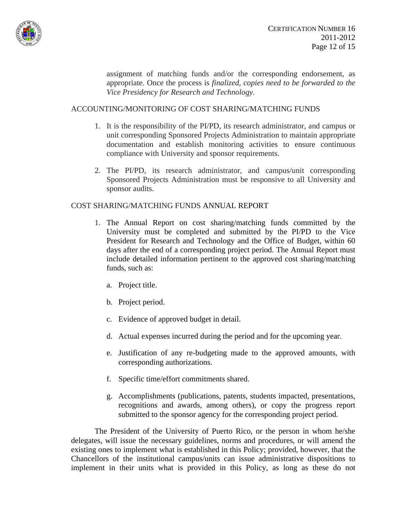

assignment of matching funds and/or the corresponding endorsement, as appropriate. Once the process is *finalized, copies need to be forwarded to the Vice Presidency for Research and Technology.* 

### ACCOUNTING/MONITORING OF COST SHARING/MATCHING FUNDS

- 1. It is the responsibility of the PI/PD, its research administrator, and campus or unit corresponding Sponsored Projects Administration to maintain appropriate documentation and establish monitoring activities to ensure continuous compliance with University and sponsor requirements.
- 2. The PI/PD, its research administrator, and campus/unit corresponding Sponsored Projects Administration must be responsive to all University and sponsor audits.

### COST SHARING/MATCHING FUNDS ANNUAL REPORT

- 1. The Annual Report on cost sharing/matching funds committed by the University must be completed and submitted by the PI/PD to the Vice President for Research and Technology and the Office of Budget, within 60 days after the end of a corresponding project period. The Annual Report must include detailed information pertinent to the approved cost sharing/matching funds, such as:
	- a. Project title.
	- b. Project period.
	- c. Evidence of approved budget in detail.
	- d. Actual expenses incurred during the period and for the upcoming year.
	- e. Justification of any re-budgeting made to the approved amounts, with corresponding authorizations.
	- f. Specific time/effort commitments shared.
	- g. Accomplishments (publications, patents, students impacted, presentations, recognitions and awards, among others), or copy the progress report submitted to the sponsor agency for the corresponding project period.

 The President of the University of Puerto Rico, or the person in whom he/she delegates, will issue the necessary guidelines, norms and procedures, or will amend the existing ones to implement what is established in this Policy; provided, however, that the Chancellors of the institutional campus/units can issue administrative dispositions to implement in their units what is provided in this Policy, as long as these do not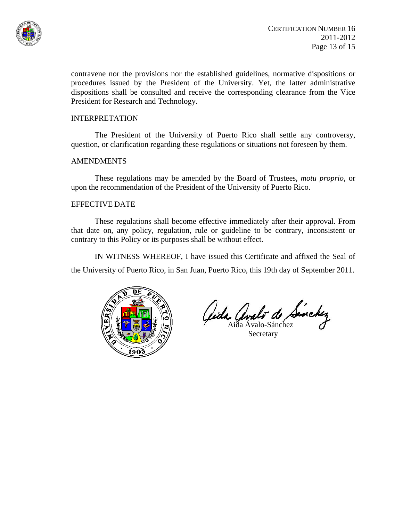

contravene nor the provisions nor the established guidelines, normative dispositions or procedures issued by the President of the University. Yet, the latter administrative dispositions shall be consulted and receive the corresponding clearance from the Vice President for Research and Technology.

#### INTERPRETATION

 The President of the University of Puerto Rico shall settle any controversy, question, or clarification regarding these regulations or situations not foreseen by them.

#### **AMENDMENTS**

 These regulations may be amended by the Board of Trustees, *motu proprio*, or upon the recommendation of the President of the University of Puerto Rico.

### EFFECTIVE DATE

 These regulations shall become effective immediately after their approval. From that date on, any policy, regulation, rule or guideline to be contrary, inconsistent or contrary to this Policy or its purposes shall be without effect.

IN WITNESS WHEREOF, I have issued this Certificate and affixed the Seal of

the University of Puerto Rico, in San Juan, Puerto Rico, this 19th day of September 2011.



Gida Analo de Sinckez

**Secretary**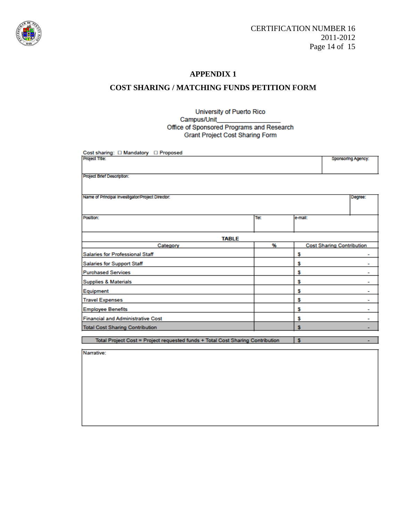

### **APPENDIX 1**

## **COST SHARING / MATCHING FUNDS PETITION FORM**

#### University of Puerto Rico Campus/Unit Office of Sponsored Programs and Research Grant Project Cost Sharing Form

| Cost sharing: [ Mandatory   Proposed                                           |      |                                  |                    |         |
|--------------------------------------------------------------------------------|------|----------------------------------|--------------------|---------|
| Project Title:                                                                 |      |                                  | Sponsoring Agency: |         |
|                                                                                |      |                                  |                    |         |
| Project Brief Description:                                                     |      |                                  |                    |         |
|                                                                                |      |                                  |                    |         |
| Name of Principal Investigator/Project Director:                               |      |                                  |                    | Degree: |
|                                                                                |      |                                  |                    |         |
| Position:                                                                      | Tel: | e-mail:                          |                    |         |
|                                                                                |      |                                  |                    |         |
| <b>TABLE</b>                                                                   |      |                                  |                    |         |
| Category                                                                       | 96   | <b>Cost Sharing Contribution</b> |                    |         |
| Salaries for Professional Staff                                                |      | s                                |                    | -       |
| <b>Salaries for Support Staff</b>                                              |      | s                                |                    | -       |
| <b>Purchased Services</b>                                                      |      | s                                |                    | ۰       |
| <b>Supplies &amp; Materials</b>                                                |      | s                                |                    | ۰       |
| Equipment                                                                      |      | s                                |                    | ٠       |
| <b>Travel Expenses</b>                                                         |      | s                                |                    | ۰       |
| <b>Employee Benefits</b>                                                       |      | s                                |                    | ۰       |
| <b>Financial and Administrative Cost</b>                                       |      | s                                |                    | ۰       |
| <b>Total Cost Sharing Contribution</b>                                         |      | s                                |                    |         |
| Total Project Cost = Project requested funds + Total Cost Sharing Contribution |      | $\mathbf{s}$                     |                    | ۰       |

Total Project Cost = Project requested funds + Total Cost Sharing Contribution | \$

Narrative: